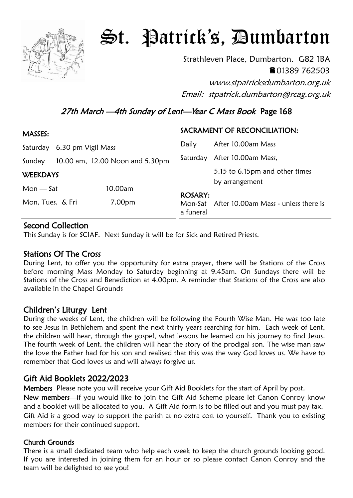

# St. Patrick's, Dumbarton

Strathleven Place, Dumbarton. G82 1BA ■01389 762503

www.stpatricksdumbarton.org.uk Email: stpatrick.dumbarton@rcag.org.uk

# 27th March -4th Sunday of Lent-Year C Mass Book Page 168

| MASSES:                     |  |                                 | SACRAMENT OF RECONCILIATION: |                                                  |
|-----------------------------|--|---------------------------------|------------------------------|--------------------------------------------------|
| Saturday 6.30 pm Vigil Mass |  |                                 | Daily                        | After 10.00am Mass                               |
| Sunday                      |  | 10.00 am, 12.00 Noon and 5.30pm | Saturday                     | After 10.00am Mass,                              |
| <b>WEEKDAYS</b>             |  |                                 |                              | 5.15 to 6.15pm and other times<br>by arrangement |
| $Mon - Sat$                 |  | 10.00am                         |                              |                                                  |
| Mon, Tues, & Fri            |  | 7.00pm                          | <b>ROSARY:</b><br>a funeral  | Mon-Sat After 10.00am Mass - unless there is     |

# Second Collection

This Sunday is for SCIAF. Next Sunday it will be for Sick and Retired Priests.

# Stations Of The Cross

During Lent, to offer you the opportunity for extra prayer, there will be Stations of the Cross before morning Mass Monday to Saturday beginning at 9.45am. On Sundays there will be Stations of the Cross and Benediction at 4.00pm. A reminder that Stations of the Cross are also available in the Chapel Grounds

# Children's Liturgy Lent

During the weeks of Lent, the children will be following the Fourth Wise Man. He was too late to see Jesus in Bethlehem and spent the next thirty years searching for him. Each week of Lent, the children will hear, through the gospel, what lessons he learned on his journey to find Jesus. The fourth week of Lent, the children will hear the story of the prodigal son. The wise man saw the love the Father had for his son and realised that this was the way God loves us. We have to remember that God loves us and will always forgive us.

# Gift Aid Booklets 2022/2023

Members Please note you will receive your Gift Aid Booklets for the start of April by post. New members—if you would like to join the Gift Aid Scheme please let Canon Conroy know and a booklet will be allocated to you. A Gift Aid form is to be filled out and you must pay tax. Gift Aid is a good way to support the parish at no extra cost to yourself. Thank you to existing members for their continued support.

#### Church Grounds

There is a small dedicated team who help each week to keep the church grounds looking good. If you are interested in joining them for an hour or so please contact Canon Conroy and the team will be delighted to see you!